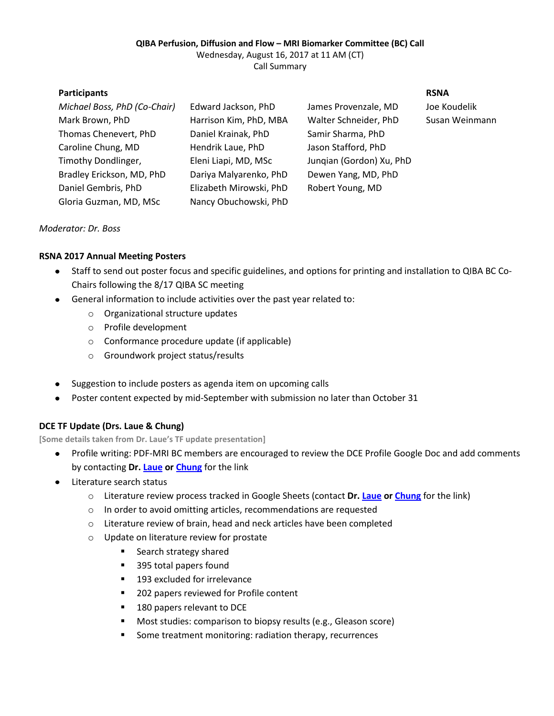### **QIBA Perfusion, Diffusion and Flow – MRI Biomarker Committee (BC) Call**

Wednesday, August 16, 2017 at 11 AM (CT) Call Summary

| <b>Participants</b>          |                         |                          | <b>RSNA</b>    |
|------------------------------|-------------------------|--------------------------|----------------|
| Michael Boss, PhD (Co-Chair) | Edward Jackson, PhD     | James Provenzale, MD     | Joe Koudelik   |
| Mark Brown, PhD              | Harrison Kim, PhD, MBA  | Walter Schneider, PhD    | Susan Weinmann |
| Thomas Chenevert, PhD        | Daniel Krainak, PhD     | Samir Sharma, PhD        |                |
| Caroline Chung, MD           | Hendrik Laue, PhD       | Jason Stafford, PhD      |                |
| Timothy Dondlinger,          | Eleni Liapi, MD, MSc    | Jungian (Gordon) Xu, PhD |                |
| Bradley Erickson, MD, PhD    | Dariya Malyarenko, PhD  | Dewen Yang, MD, PhD      |                |
| Daniel Gembris, PhD          | Elizabeth Mirowski, PhD | Robert Young, MD         |                |
| Gloria Guzman, MD, MSc       | Nancy Obuchowski, PhD   |                          |                |

*Moderator: Dr. Boss*

## **RSNA 2017 Annual Meeting Posters**

- Staff to send out poster focus and specific guidelines, and options for printing and installation to QIBA BC Co- $\bullet$ Chairs following the 8/17 QIBA SC meeting
- General information to include activities over the past year related to:  $\bullet$ 
	- o Organizational structure updates
	- o Profile development
	- o Conformance procedure update (if applicable)
	- o Groundwork project status/results
- Suggestion to include posters as agenda item on upcoming calls
- Poster content expected by mid-September with submission no later than October 31

# **DCE TF Update (Drs. Laue & Chung)**

**[Some details taken from Dr. Laue's TF update presentation]**

- Profile writing: PDF-MRI BC members are encouraged to review the DCE Profile Google Doc and add comments by contacting **Dr. [Laue](mailto:hendrik.laue@mevis.fraunhofer.de) o[r Chung](mailto:cchung3@mdanderson.org)** for the link
- Literature search status
	- o Literature review process tracked in Google Sheets (contact **Dr. [Laue](mailto:hendrik.laue@mevis.fraunhofer.de) o[r Chung](mailto:cchung3@mdanderson.org)** for the link)
	- o In order to avoid omitting articles, recommendations are requested
	- o Literature review of brain, head and neck articles have been completed
	- o Update on literature review for prostate
		- Search strategy shared
		- 395 total papers found
		- 193 excluded for irrelevance
		- 202 papers reviewed for Profile content
		- 180 papers relevant to DCE
		- **Most studies: comparison to biopsy results (e.g., Gleason score)**
		- **Some treatment monitoring: radiation therapy, recurrences**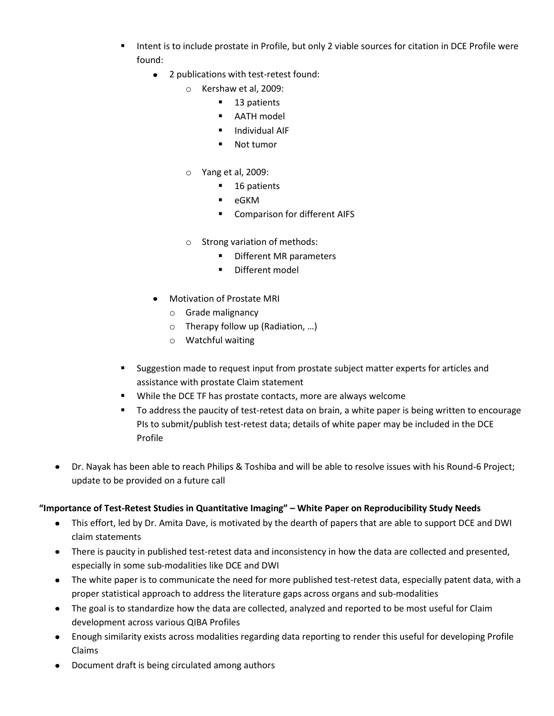- Intent is to include prostate in Profile, but only 2 viable sources for citation in DCE Profile were found:
	- 2 publications with test-retest found:
		- o Kershaw et al, 2009:
			- 13 patients
			- AATH model
			- **Individual AIF**
			- Not tumor
		- o Yang et al, 2009:
			- 16 patients
			- $-eGKM$
			- Comparison for different AIFS
		- o Strong variation of methods:
			- Different MR parameters
			- Different model
	- Motivation of Prostate MRI
		- o Grade malignancy
		- o Therapy follow up (Radiation, …)
		- o Watchful waiting
- **Suggestion made to request input from prostate subject matter experts for articles and** assistance with prostate Claim statement
- While the DCE TF has prostate contacts, more are always welcome
- To address the paucity of test-retest data on brain, a white paper is being written to encourage PIs to submit/publish test-retest data; details of white paper may be included in the DCE Profile
- Dr. Nayak has been able to reach Philips & Toshiba and will be able to resolve issues with his Round-6 Project; update to be provided on a future call

## **"Importance of Test-Retest Studies in Quantitative Imaging" – White Paper on Reproducibility Study Needs**

- This effort, led by Dr. Amita Dave, is motivated by the dearth of papers that are able to support DCE and DWI  $\bullet$ claim statements
- There is paucity in published test-retest data and inconsistency in how the data are collected and presented, especially in some sub-modalities like DCE and DWI
- The white paper is to communicate the need for more published test-retest data, especially patent data, with a  $\bullet$ proper statistical approach to address the literature gaps across organs and sub-modalities
- The goal is to standardize how the data are collected, analyzed and reported to be most useful for Claim  $\bullet$ development across various QIBA Profiles
- Enough similarity exists across modalities regarding data reporting to render this useful for developing Profile Claims
- Document draft is being circulated among authors